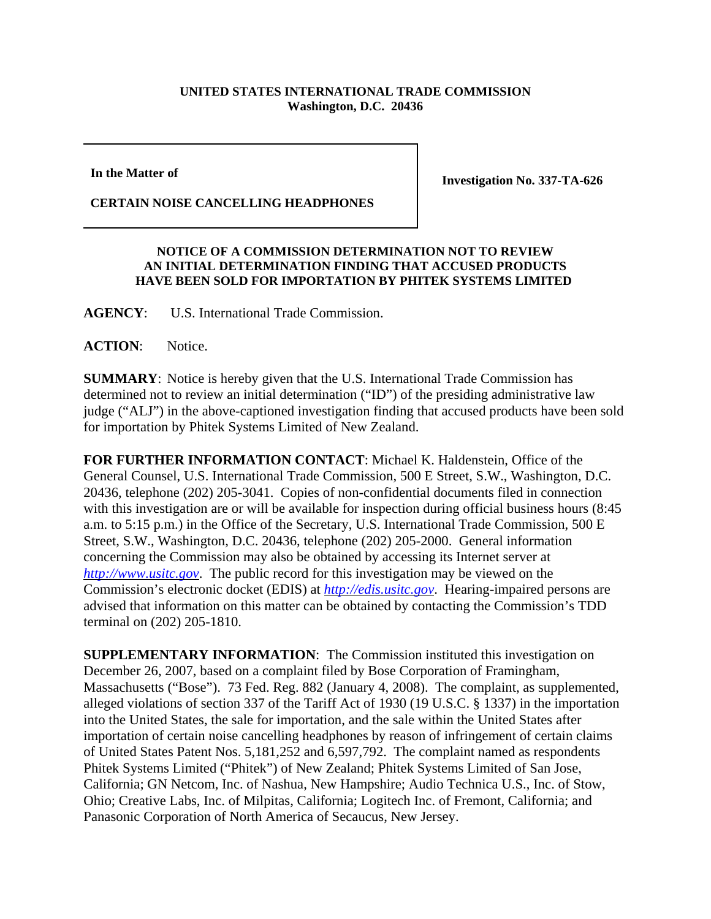## **UNITED STATES INTERNATIONAL TRADE COMMISSION Washington, D.C. 20436**

**In the Matter of** 

**CERTAIN NOISE CANCELLING HEADPHONES**

**Investigation No. 337-TA-626**

## **NOTICE OF A COMMISSION DETERMINATION NOT TO REVIEW AN INITIAL DETERMINATION FINDING THAT ACCUSED PRODUCTS HAVE BEEN SOLD FOR IMPORTATION BY PHITEK SYSTEMS LIMITED**

**AGENCY**: U.S. International Trade Commission.

## ACTION: Notice.

**SUMMARY**: Notice is hereby given that the U.S. International Trade Commission has determined not to review an initial determination ("ID") of the presiding administrative law judge ("ALJ") in the above-captioned investigation finding that accused products have been sold for importation by Phitek Systems Limited of New Zealand.

**FOR FURTHER INFORMATION CONTACT**: Michael K. Haldenstein, Office of the General Counsel, U.S. International Trade Commission, 500 E Street, S.W., Washington, D.C. 20436, telephone (202) 205-3041. Copies of non-confidential documents filed in connection with this investigation are or will be available for inspection during official business hours (8:45 a.m. to 5:15 p.m.) in the Office of the Secretary, U.S. International Trade Commission, 500 E Street, S.W., Washington, D.C. 20436, telephone (202) 205-2000. General information concerning the Commission may also be obtained by accessing its Internet server at *http://www.usitc.gov*. The public record for this investigation may be viewed on the Commission's electronic docket (EDIS) at *http://edis.usitc.gov*. Hearing-impaired persons are advised that information on this matter can be obtained by contacting the Commission's TDD terminal on (202) 205-1810.

**SUPPLEMENTARY INFORMATION**: The Commission instituted this investigation on December 26, 2007, based on a complaint filed by Bose Corporation of Framingham, Massachusetts ("Bose"). 73 Fed. Reg. 882 (January 4, 2008). The complaint, as supplemented, alleged violations of section 337 of the Tariff Act of 1930 (19 U.S.C. § 1337) in the importation into the United States, the sale for importation, and the sale within the United States after importation of certain noise cancelling headphones by reason of infringement of certain claims of United States Patent Nos. 5,181,252 and 6,597,792. The complaint named as respondents Phitek Systems Limited ("Phitek") of New Zealand; Phitek Systems Limited of San Jose, California; GN Netcom, Inc. of Nashua, New Hampshire; Audio Technica U.S., Inc. of Stow, Ohio; Creative Labs, Inc. of Milpitas, California; Logitech Inc. of Fremont, California; and Panasonic Corporation of North America of Secaucus, New Jersey.